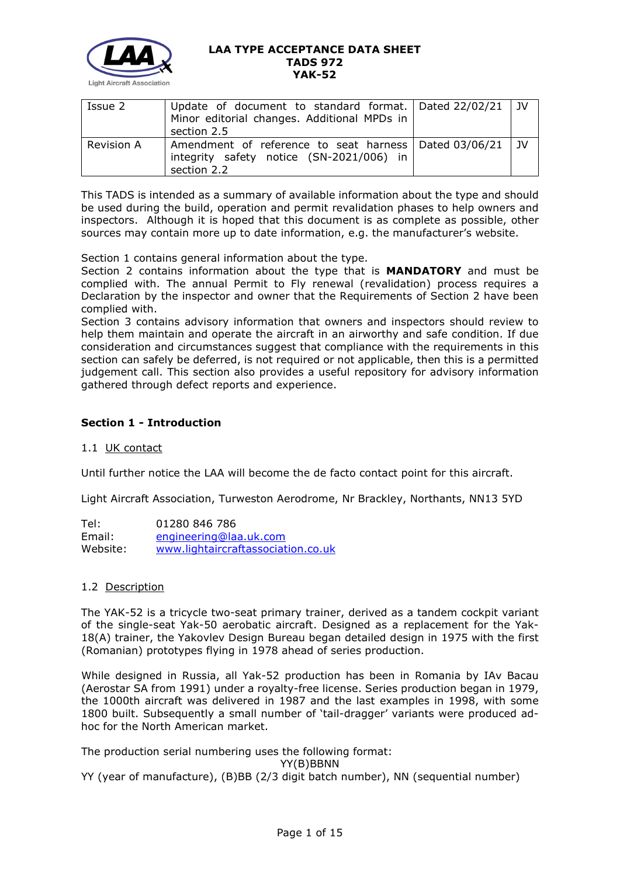

| Issue 2           | Update of document to standard format. $\vert$ Dated 22/02/21 $\vert$ JV<br>Minor editorial changes. Additional MPDs in<br>section 2.5 |  |
|-------------------|----------------------------------------------------------------------------------------------------------------------------------------|--|
| <b>Revision A</b> | Amendment of reference to seat harness   Dated 03/06/21   JV<br>integrity safety notice (SN-2021/006) in<br>section 2.2                |  |

This TADS is intended as a summary of available information about the type and should be used during the build, operation and permit revalidation phases to help owners and inspectors. Although it is hoped that this document is as complete as possible, other sources may contain more up to date information, e.g. the manufacturer's website.

Section 1 contains general information about the type.

Section 2 contains information about the type that is **MANDATORY** and must be complied with. The annual Permit to Fly renewal (revalidation) process requires a Declaration by the inspector and owner that the Requirements of Section 2 have been complied with.

Section 3 contains advisory information that owners and inspectors should review to help them maintain and operate the aircraft in an airworthy and safe condition. If due consideration and circumstances suggest that compliance with the requirements in this section can safely be deferred, is not required or not applicable, then this is a permitted judgement call. This section also provides a useful repository for advisory information gathered through defect reports and experience.

# **Section 1 - Introduction**

# 1.1 UK contact

Until further notice the LAA will become the de facto contact point for this aircraft.

Light Aircraft Association, Turweston Aerodrome, Nr Brackley, Northants, NN13 5YD

| Tel:     | 01280 846 786                      |
|----------|------------------------------------|
| Email:   | engineering@laa.uk.com             |
| Website: | www.lightaircraftassociation.co.uk |

# 1.2 Description

The YAK-52 is a tricycle two-seat primary trainer, derived as a tandem cockpit variant of the single-seat Yak-50 aerobatic aircraft. Designed as a replacement for the Yak-18(A) trainer, the Yakovlev Design Bureau began detailed design in 1975 with the first (Romanian) prototypes flying in 1978 ahead of series production.

While designed in Russia, all Yak-52 production has been in Romania by IAv Bacau (Aerostar SA from 1991) under a royalty-free license. Series production began in 1979, the 1000th aircraft was delivered in 1987 and the last examples in 1998, with some 1800 built. Subsequently a small number of 'tail-dragger' variants were produced adhoc for the North American market.

The production serial numbering uses the following format:

YY(B)BBNN

YY (year of manufacture), (B)BB (2/3 digit batch number), NN (sequential number)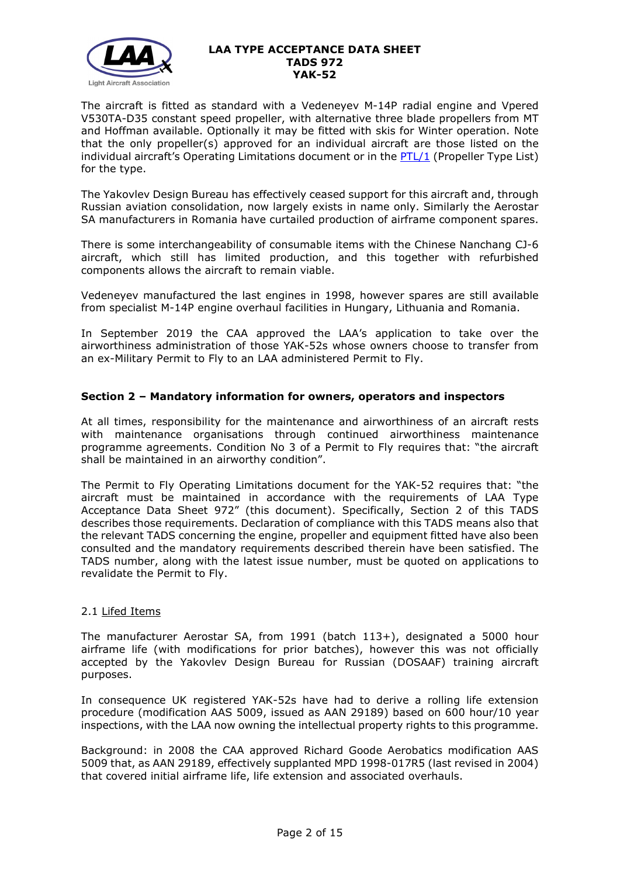

The aircraft is fitted as standard with a Vedeneyev M-14P radial engine and Vpered V530TA-D35 constant speed propeller, with alternative three blade propellers from MT and Hoffman available. Optionally it may be fitted with skis for Winter operation. Note that the only propeller(s) approved for an individual aircraft are those listed on the individual aircraft's Operating Limitations document or in the [PTL/1](http://www.lightaircraftassociation.co.uk/engineering/NewMods/PTL.html) (Propeller Type List) for the type.

The Yakovlev Design Bureau has effectively ceased support for this aircraft and, through Russian aviation consolidation, now largely exists in name only. Similarly the Aerostar SA manufacturers in Romania have curtailed production of airframe component spares.

There is some interchangeability of consumable items with the Chinese Nanchang CJ-6 aircraft, which still has limited production, and this together with refurbished components allows the aircraft to remain viable.

Vedeneyev manufactured the last engines in 1998, however spares are still available from specialist M-14P engine overhaul facilities in Hungary, Lithuania and Romania.

In September 2019 the CAA approved the LAA's application to take over the airworthiness administration of those YAK-52s whose owners choose to transfer from an ex-Military Permit to Fly to an LAA administered Permit to Fly.

# **Section 2 – Mandatory information for owners, operators and inspectors**

At all times, responsibility for the maintenance and airworthiness of an aircraft rests with maintenance organisations through continued airworthiness maintenance programme agreements. Condition No 3 of a Permit to Fly requires that: "the aircraft shall be maintained in an airworthy condition".

The Permit to Fly Operating Limitations document for the YAK-52 requires that: "the aircraft must be maintained in accordance with the requirements of LAA Type Acceptance Data Sheet 972" (this document). Specifically, Section 2 of this TADS describes those requirements. Declaration of compliance with this TADS means also that the relevant TADS concerning the engine, propeller and equipment fitted have also been consulted and the mandatory requirements described therein have been satisfied. The TADS number, along with the latest issue number, must be quoted on applications to revalidate the Permit to Fly.

# 2.1 Lifed Items

The manufacturer Aerostar SA, from 1991 (batch 113+), designated a 5000 hour airframe life (with modifications for prior batches), however this was not officially accepted by the Yakovlev Design Bureau for Russian (DOSAAF) training aircraft purposes.

In consequence UK registered YAK-52s have had to derive a rolling life extension procedure (modification AAS 5009, issued as AAN 29189) based on 600 hour/10 year inspections, with the LAA now owning the intellectual property rights to this programme.

Background: in 2008 the CAA approved Richard Goode Aerobatics modification AAS 5009 that, as AAN 29189, effectively supplanted MPD 1998-017R5 (last revised in 2004) that covered initial airframe life, life extension and associated overhauls.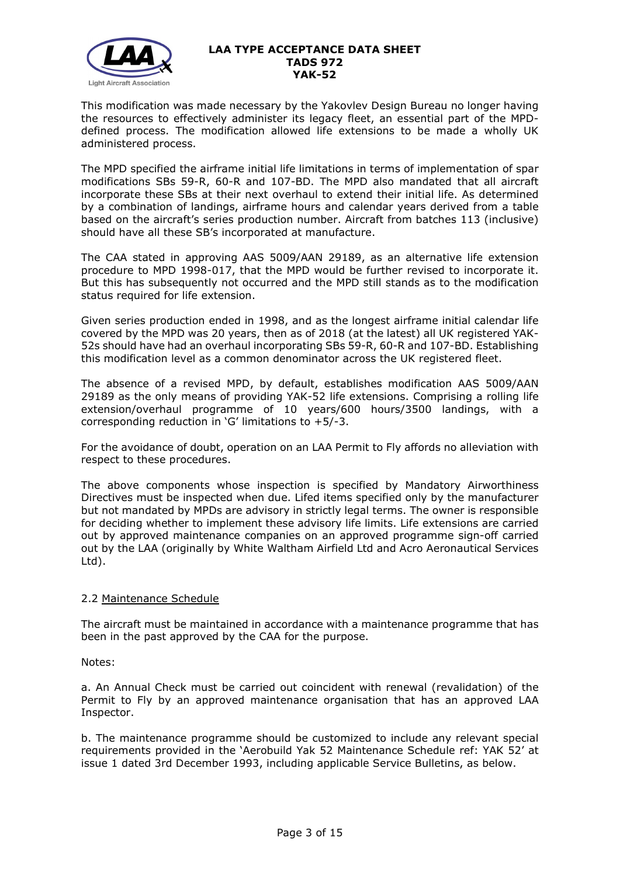

This modification was made necessary by the Yakovlev Design Bureau no longer having the resources to effectively administer its legacy fleet, an essential part of the MPDdefined process. The modification allowed life extensions to be made a wholly UK administered process.

The MPD specified the airframe initial life limitations in terms of implementation of spar modifications SBs 59-R, 60-R and 107-BD. The MPD also mandated that all aircraft incorporate these SBs at their next overhaul to extend their initial life. As determined by a combination of landings, airframe hours and calendar years derived from a table based on the aircraft's series production number. Aircraft from batches 113 (inclusive) should have all these SB's incorporated at manufacture.

The CAA stated in approving AAS 5009/AAN 29189, as an alternative life extension procedure to MPD 1998-017, that the MPD would be further revised to incorporate it. But this has subsequently not occurred and the MPD still stands as to the modification status required for life extension.

Given series production ended in 1998, and as the longest airframe initial calendar life covered by the MPD was 20 years, then as of 2018 (at the latest) all UK registered YAK-52s should have had an overhaul incorporating SBs 59-R, 60-R and 107-BD. Establishing this modification level as a common denominator across the UK registered fleet.

The absence of a revised MPD, by default, establishes modification AAS 5009/AAN 29189 as the only means of providing YAK-52 life extensions. Comprising a rolling life extension/overhaul programme of 10 years/600 hours/3500 landings, with a corresponding reduction in 'G' limitations to  $+5/-3$ .

For the avoidance of doubt, operation on an LAA Permit to Fly affords no alleviation with respect to these procedures.

The above components whose inspection is specified by Mandatory Airworthiness Directives must be inspected when due. Lifed items specified only by the manufacturer but not mandated by MPDs are advisory in strictly legal terms. The owner is responsible for deciding whether to implement these advisory life limits. Life extensions are carried out by approved maintenance companies on an approved programme sign-off carried out by the LAA (originally by White Waltham Airfield Ltd and Acro Aeronautical Services Ltd).

# 2.2 Maintenance Schedule

The aircraft must be maintained in accordance with a maintenance programme that has been in the past approved by the CAA for the purpose.

Notes:

a. An Annual Check must be carried out coincident with renewal (revalidation) of the Permit to Fly by an approved maintenance organisation that has an approved LAA Inspector.

b. The maintenance programme should be customized to include any relevant special requirements provided in the 'Aerobuild Yak 52 Maintenance Schedule ref: YAK 52' at issue 1 dated 3rd December 1993, including applicable Service Bulletins, as below.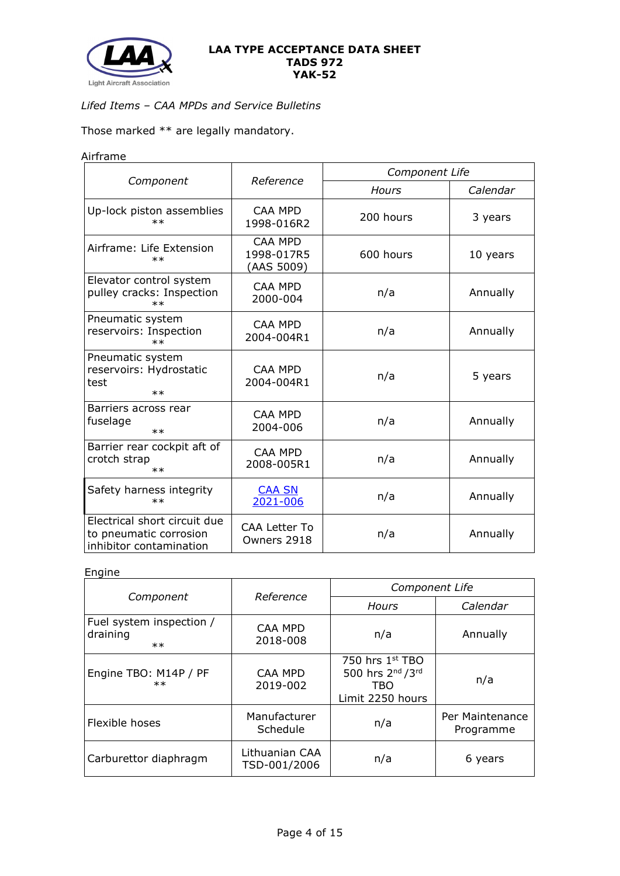

# *Lifed Items – CAA MPDs and Service Bulletins*

Those marked \*\* are legally mandatory.

# Airframe

|                                                                                   | Reference                                  | Component Life |          |  |
|-----------------------------------------------------------------------------------|--------------------------------------------|----------------|----------|--|
| Component                                                                         |                                            | <b>Hours</b>   | Calendar |  |
| Up-lock piston assemblies<br>$\ast\ast$                                           | <b>CAA MPD</b><br>1998-016R2               | 200 hours      | 3 years  |  |
| Airframe: Life Extension<br>$**$                                                  | <b>CAA MPD</b><br>1998-017R5<br>(AAS 5009) | 600 hours      | 10 years |  |
| Elevator control system<br>pulley cracks: Inspection<br>$\ast\ast$                | <b>CAA MPD</b><br>2000-004                 | n/a            | Annually |  |
| Pneumatic system<br>reservoirs: Inspection<br>$**$                                | CAA MPD<br>2004-004R1                      | n/a            | Annually |  |
| Pneumatic system<br>reservoirs: Hydrostatic<br>test<br>$**$                       | <b>CAA MPD</b><br>2004-004R1               | n/a            | 5 years  |  |
| Barriers across rear<br>fuselage<br>$**$                                          | <b>CAA MPD</b><br>2004-006                 | n/a            | Annually |  |
| Barrier rear cockpit aft of<br>crotch strap<br>$**$                               | <b>CAA MPD</b><br>2008-005R1               | n/a            | Annually |  |
| Safety harness integrity<br>$\ast\ast$                                            | <b>CAA SN</b><br>2021-006                  | n/a            | Annually |  |
| Electrical short circuit due<br>to pneumatic corrosion<br>inhibitor contamination | <b>CAA Letter To</b><br>Owners 2918        | n/a            | Annually |  |

# Engine

|                                               |                                | <b>Component Life</b>                                                                          |                              |  |
|-----------------------------------------------|--------------------------------|------------------------------------------------------------------------------------------------|------------------------------|--|
| Component                                     | Reference                      | Hours                                                                                          | Calendar                     |  |
| Fuel system inspection /<br>draining<br>$***$ | CAA MPD<br>2018-008            | n/a                                                                                            | Annually                     |  |
| Engine TBO: M14P / PF<br>$**$                 | CAA MPD<br>2019-002            | 750 hrs 1st TBO<br>500 hrs 2 <sup>nd</sup> / 3 <sup>rd</sup><br><b>TBO</b><br>Limit 2250 hours | n/a                          |  |
| Flexible hoses                                | Manufacturer<br>Schedule       | n/a                                                                                            | Per Maintenance<br>Programme |  |
| Carburettor diaphragm                         | Lithuanian CAA<br>TSD-001/2006 | n/a                                                                                            | 6 years                      |  |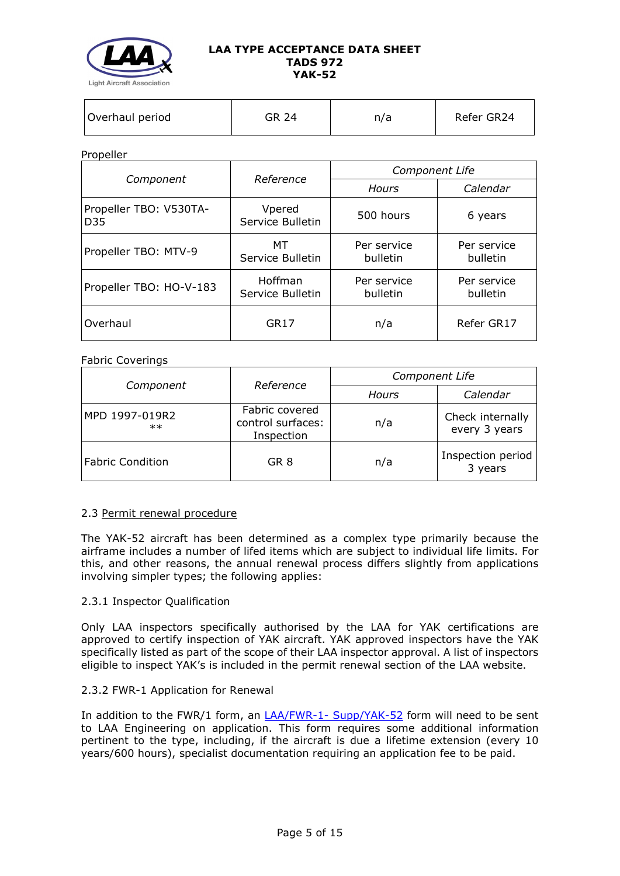

### Propeller

|                               | Reference                   | Component Life          |                         |  |
|-------------------------------|-----------------------------|-------------------------|-------------------------|--|
| Component                     |                             | Hours                   | Calendar                |  |
| Propeller TBO: V530TA-<br>D35 | Vpered<br>Service Bulletin  | 500 hours               | 6 years                 |  |
| Propeller TBO: MTV-9          | МT<br>Service Bulletin      | Per service<br>bulletin | Per service<br>bulletin |  |
| Propeller TBO: HO-V-183       | Hoffman<br>Service Bulletin | Per service<br>bulletin | Per service<br>bulletin |  |
| Overhaul                      | GR17                        | n/a                     | Refer GR17              |  |

### Fabric Coverings

|                         |                                                   | Component Life    |                                   |  |
|-------------------------|---------------------------------------------------|-------------------|-----------------------------------|--|
| Component               | Reference                                         | Calendar<br>Hours |                                   |  |
| MPD 1997-019R2<br>$**$  | Fabric covered<br>control surfaces:<br>Inspection | n/a               | Check internally<br>every 3 years |  |
| <b>Fabric Condition</b> | GR <sub>8</sub>                                   | n/a               | Inspection period<br>3 years      |  |

# 2.3 Permit renewal procedure

The YAK-52 aircraft has been determined as a complex type primarily because the airframe includes a number of lifed items which are subject to individual life limits. For this, and other reasons, the annual renewal process differs slightly from applications involving simpler types; the following applies:

# 2.3.1 Inspector Qualification

Only LAA inspectors specifically authorised by the LAA for YAK certifications are approved to certify inspection of YAK aircraft. YAK approved inspectors have the YAK specifically listed as part of the scope of their LAA inspector approval. A list of inspectors eligible to inspect YAK's is included in the permit renewal section of the LAA website.

# 2.3.2 FWR-1 Application for Renewal

In addition to the FWR/1 form, an LAA/FWR-1- [Supp/YAK-52](http://www.lightaircraftassociation.co.uk/engineering/Inspection/FORM%20LAA%20FWR-1-Supp%20YAK-52.docx) form will need to be sent to LAA Engineering on application. This form requires some additional information pertinent to the type, including, if the aircraft is due a lifetime extension (every 10 years/600 hours), specialist documentation requiring an application fee to be paid.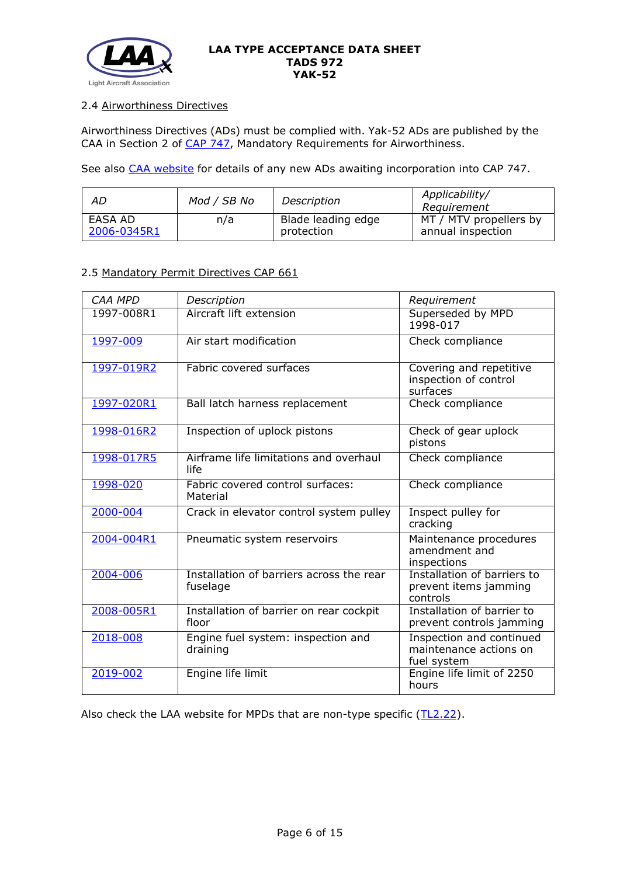

# 2.4 Airworthiness Directives

Airworthiness Directives (ADs) must be complied with. Yak-52 ADs are published by the CAA in Section 2 of [CAP 747,](http://www.caa.co.uk/cap747) Mandatory Requirements for Airworthiness.

See also [CAA website](http://publicapps.caa.co.uk/modalapplication.aspx?appid=11&mode=list&type=sercat&id=58) for details of any new ADs awaiting incorporation into CAP 747.

| AD          | Mod / SB No | Description        | Applicability/<br>Reauirement |
|-------------|-------------|--------------------|-------------------------------|
| EASA AD     | n/a         | Blade leading edge | MT / MTV propellers by        |
| 2006-0345R1 |             | protection         | annual inspection             |

# 2.5 Mandatory Permit Directives CAP 661

| <b>CAA MPD</b> | Description                                          | Requirement                                                       |
|----------------|------------------------------------------------------|-------------------------------------------------------------------|
| 1997-008R1     | Aircraft lift extension                              | Superseded by MPD<br>1998-017                                     |
| 1997-009       | Air start modification                               | Check compliance                                                  |
| 1997-019R2     | Fabric covered surfaces                              | Covering and repetitive<br>inspection of control<br>surfaces      |
| 1997-020R1     | Ball latch harness replacement                       | Check compliance                                                  |
| 1998-016R2     | Inspection of uplock pistons                         | Check of gear uplock<br>pistons                                   |
| 1998-017R5     | Airframe life limitations and overhaul<br>life       | Check compliance                                                  |
| 1998-020       | Fabric covered control surfaces:<br>Material         | Check compliance                                                  |
| $2000 - 004$   | Crack in elevator control system pulley              | Inspect pulley for<br>cracking                                    |
| 2004-004R1     | Pneumatic system reservoirs                          | Maintenance procedures<br>amendment and<br>inspections            |
| 2004-006       | Installation of barriers across the rear<br>fuselage | Installation of barriers to<br>prevent items jamming<br>controls  |
| 2008-005R1     | Installation of barrier on rear cockpit<br>floor     | Installation of barrier to<br>prevent controls jamming            |
| 2018-008       | Engine fuel system: inspection and<br>draining       | Inspection and continued<br>maintenance actions on<br>fuel system |
| 2019-002       | Engine life limit                                    | Engine life limit of 2250<br>hours                                |

Also check the LAA website for MPDs that are non-type specific [\(TL2.22\)](http://www.lightaircraftassociation.co.uk/engineering/TechnicalLeaflets/Operating%20An%20Aircraft/TL%202.22%20non-type%20specific%20MPDs.pdf).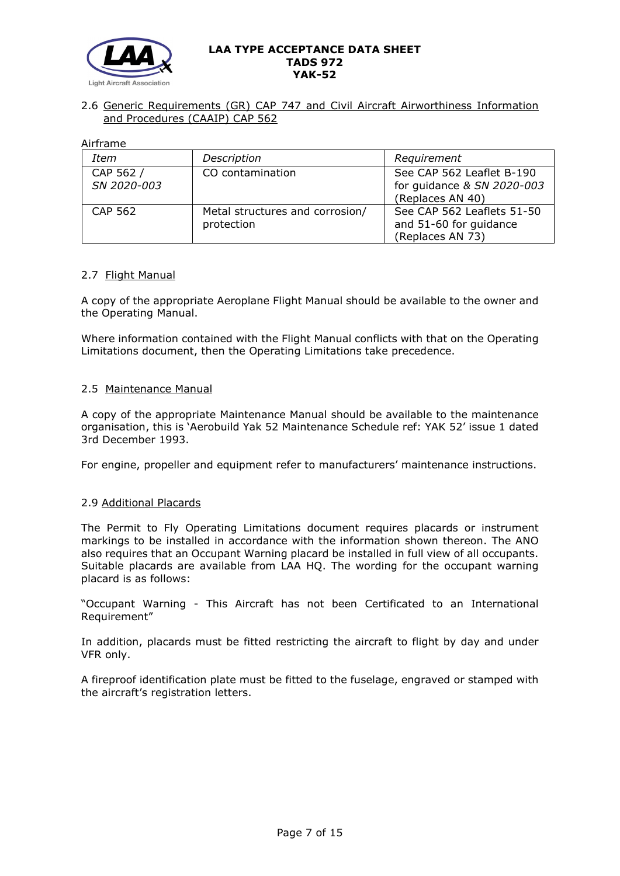

# 2.6 Generic Requirements (GR) CAP 747 and Civil Aircraft Airworthiness Information and Procedures (CAAIP) CAP 562

Airframe

| Item                     | Description                                   | Requirement                                                                 |
|--------------------------|-----------------------------------------------|-----------------------------------------------------------------------------|
| CAP 562 /<br>SN 2020-003 | CO contamination                              | See CAP 562 Leaflet B-190<br>for guidance & SN 2020-003<br>(Replaces AN 40) |
| <b>CAP 562</b>           | Metal structures and corrosion/<br>protection | See CAP 562 Leaflets 51-50<br>and 51-60 for guidance<br>(Replaces AN 73)    |

# 2.7 Flight Manual

A copy of the appropriate Aeroplane Flight Manual should be available to the owner and the Operating Manual.

Where information contained with the Flight Manual conflicts with that on the Operating Limitations document, then the Operating Limitations take precedence.

# 2.5 Maintenance Manual

A copy of the appropriate Maintenance Manual should be available to the maintenance organisation, this is 'Aerobuild Yak 52 Maintenance Schedule ref: YAK 52' issue 1 dated 3rd December 1993.

For engine, propeller and equipment refer to manufacturers' maintenance instructions.

# 2.9 Additional Placards

The Permit to Fly Operating Limitations document requires placards or instrument markings to be installed in accordance with the information shown thereon. The ANO also requires that an Occupant Warning placard be installed in full view of all occupants. Suitable placards are available from LAA HQ. The wording for the occupant warning placard is as follows:

"Occupant Warning - This Aircraft has not been Certificated to an International Requirement"

In addition, placards must be fitted restricting the aircraft to flight by day and under VFR only.

A fireproof identification plate must be fitted to the fuselage, engraved or stamped with the aircraft's registration letters.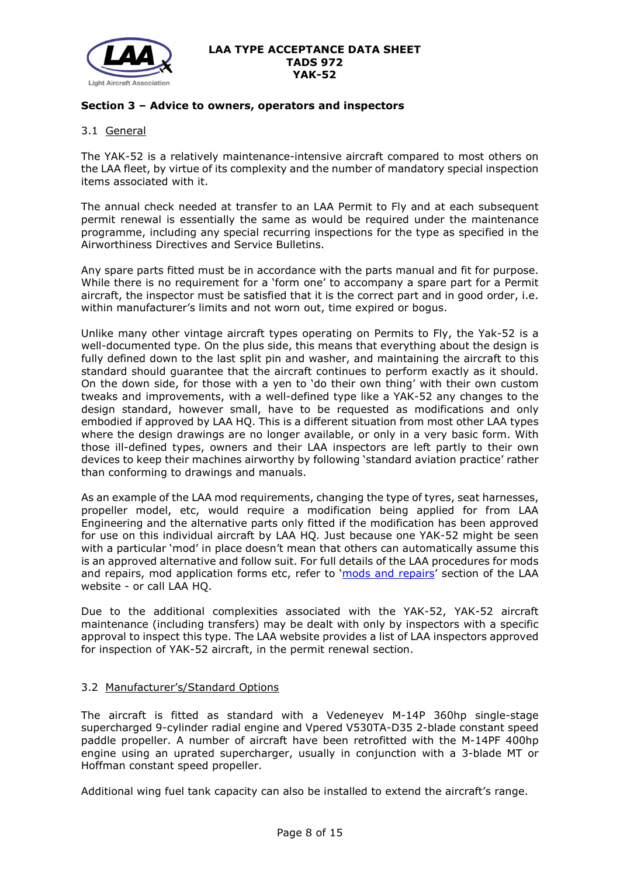

# **Section 3 – Advice to owners, operators and inspectors**

# 3.1 General

The YAK-52 is a relatively maintenance-intensive aircraft compared to most others on the LAA fleet, by virtue of its complexity and the number of mandatory special inspection items associated with it.

The annual check needed at transfer to an LAA Permit to Fly and at each subsequent permit renewal is essentially the same as would be required under the maintenance programme, including any special recurring inspections for the type as specified in the Airworthiness Directives and Service Bulletins.

Any spare parts fitted must be in accordance with the parts manual and fit for purpose. While there is no requirement for a 'form one' to accompany a spare part for a Permit aircraft, the inspector must be satisfied that it is the correct part and in good order, i.e. within manufacturer's limits and not worn out, time expired or bogus.

Unlike many other vintage aircraft types operating on Permits to Fly, the Yak-52 is a well-documented type. On the plus side, this means that everything about the design is fully defined down to the last split pin and washer, and maintaining the aircraft to this standard should guarantee that the aircraft continues to perform exactly as it should. On the down side, for those with a yen to 'do their own thing' with their own custom tweaks and improvements, with a well-defined type like a YAK-52 any changes to the design standard, however small, have to be requested as modifications and only embodied if approved by LAA HQ. This is a different situation from most other LAA types where the design drawings are no longer available, or only in a very basic form. With those ill-defined types, owners and their LAA inspectors are left partly to their own devices to keep their machines airworthy by following 'standard aviation practice' rather than conforming to drawings and manuals.

As an example of the LAA mod requirements, changing the type of tyres, seat harnesses, propeller model, etc, would require a modification being applied for from LAA Engineering and the alternative parts only fitted if the modification has been approved for use on this individual aircraft by LAA HQ. Just because one YAK-52 might be seen with a particular 'mod' in place doesn't mean that others can automatically assume this is an approved alternative and follow suit. For full details of the LAA procedures for mods and repairs, mod application forms etc, refer to ['mods and repairs'](http://www.lightaircraftassociation.co.uk/engineering/NewMods/Mod_table.html) section of the LAA website - or call LAA HQ.

Due to the additional complexities associated with the YAK-52, YAK-52 aircraft maintenance (including transfers) may be dealt with only by inspectors with a specific approval to inspect this type. The LAA website provides a list of LAA inspectors approved for inspection of YAK-52 aircraft, in the permit renewal section.

# 3.2 Manufacturer's/Standard Options

The aircraft is fitted as standard with a Vedeneyev M-14P 360hp single-stage supercharged 9-cylinder radial engine and Vpered V530TA-D35 2-blade constant speed paddle propeller. A number of aircraft have been retrofitted with the M-14PF 400hp engine using an uprated supercharger, usually in conjunction with a 3-blade MT or Hoffman constant speed propeller.

Additional wing fuel tank capacity can also be installed to extend the aircraft's range.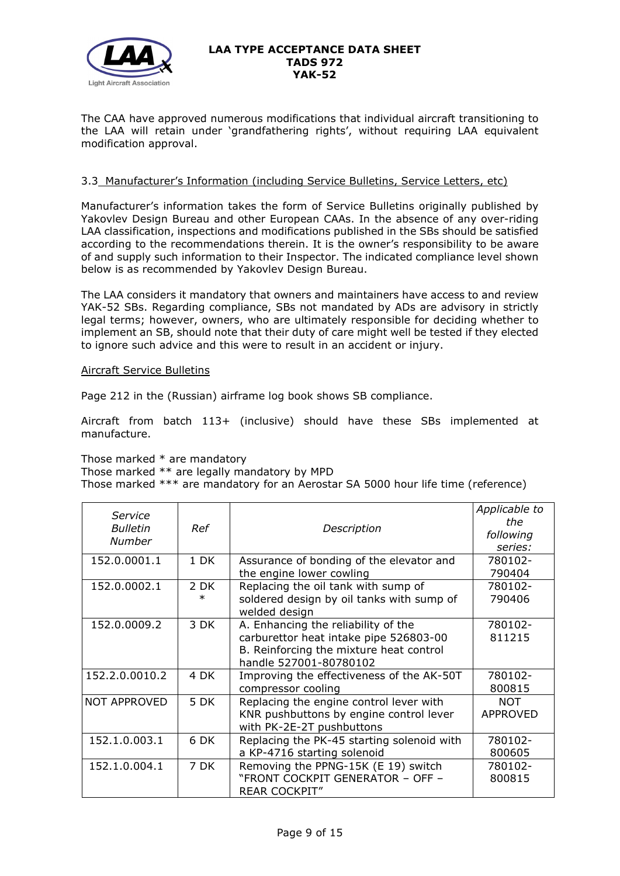

The CAA have approved numerous modifications that individual aircraft transitioning to the LAA will retain under 'grandfathering rights', without requiring LAA equivalent modification approval.

# 3.3 Manufacturer's Information (including Service Bulletins, Service Letters, etc)

Manufacturer's information takes the form of Service Bulletins originally published by Yakovlev Design Bureau and other European CAAs. In the absence of any over-riding LAA classification, inspections and modifications published in the SBs should be satisfied according to the recommendations therein. It is the owner's responsibility to be aware of and supply such information to their Inspector. The indicated compliance level shown below is as recommended by Yakovlev Design Bureau.

The LAA considers it mandatory that owners and maintainers have access to and review YAK-52 SBs. Regarding compliance, SBs not mandated by ADs are advisory in strictly legal terms; however, owners, who are ultimately responsible for deciding whether to implement an SB, should note that their duty of care might well be tested if they elected to ignore such advice and this were to result in an accident or injury.

### Aircraft Service Bulletins

Page 212 in the (Russian) airframe log book shows SB compliance.

Aircraft from batch 113+ (inclusive) should have these SBs implemented at manufacture.

Those marked \* are mandatory

Those marked \*\* are legally mandatory by MPD

Those marked \*\*\* are mandatory for an Aerostar SA 5000 hour life time (reference)

| Service                   |        |                                                            | Applicable to<br>the |
|---------------------------|--------|------------------------------------------------------------|----------------------|
| <b>Bulletin</b><br>Number | Ref    | Description                                                | following            |
|                           |        |                                                            | series:              |
| 152.0.0001.1              | 1 DK   | Assurance of bonding of the elevator and                   | 780102-              |
|                           |        | the engine lower cowling                                   | 790404               |
| 152.0.0002.1              | 2 DK   | Replacing the oil tank with sump of                        | 780102-              |
|                           | $\ast$ | soldered design by oil tanks with sump of<br>welded design | 790406               |
| 152.0.0009.2              | 3 DK   | A. Enhancing the reliability of the                        | 780102-              |
|                           |        | carburettor heat intake pipe 526803-00                     | 811215               |
|                           |        | B. Reinforcing the mixture heat control                    |                      |
|                           |        | handle 527001-80780102                                     |                      |
| 152.2.0.0010.2            | 4 DK   | Improving the effectiveness of the AK-50T                  | 780102-              |
|                           |        | compressor cooling                                         | 800815               |
| <b>NOT APPROVED</b>       | 5 DK   | Replacing the engine control lever with                    | <b>NOT</b>           |
|                           |        | KNR pushbuttons by engine control lever                    | <b>APPROVED</b>      |
|                           |        | with PK-2E-2T pushbuttons                                  |                      |
| 152.1.0.003.1             | 6 DK   | Replacing the PK-45 starting solenoid with                 | 780102-              |
|                           |        | a KP-4716 starting solenoid                                | 800605               |
| 152.1.0.004.1             | 7 DK   | Removing the PPNG-15K (E 19) switch                        | 780102-              |
|                           |        | "FRONT COCKPIT GENERATOR - OFF -                           | 800815               |
|                           |        | <b>REAR COCKPIT"</b>                                       |                      |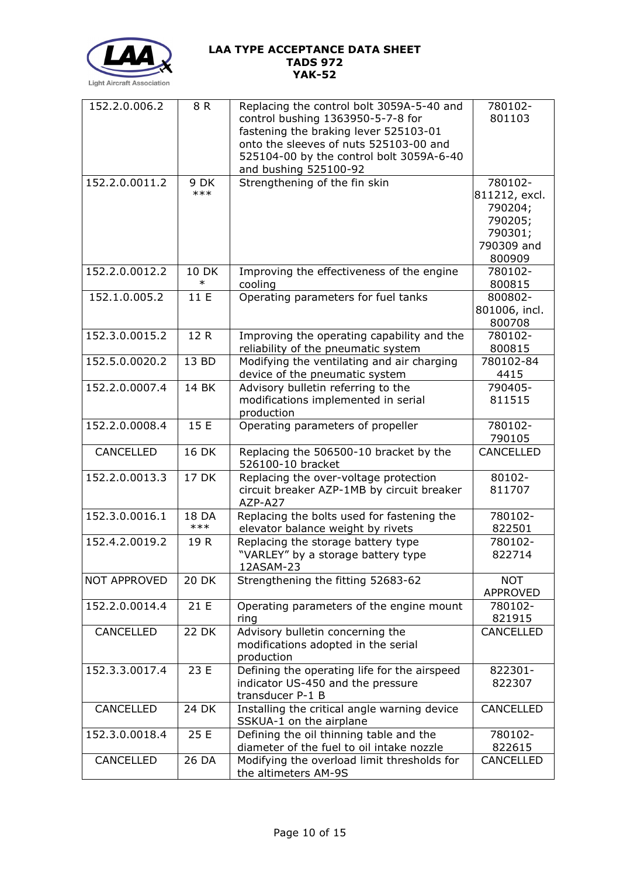

| 152.2.0.006.2       | 8 R          | Replacing the control bolt 3059A-5-40 and<br>control bushing 1363950-5-7-8 for     | 780102-<br>801103 |
|---------------------|--------------|------------------------------------------------------------------------------------|-------------------|
|                     |              | fastening the braking lever 525103-01                                              |                   |
|                     |              | onto the sleeves of nuts 525103-00 and<br>525104-00 by the control bolt 3059A-6-40 |                   |
|                     |              | and bushing 525100-92                                                              |                   |
| 152.2.0.0011.2      | 9 DK         | Strengthening of the fin skin                                                      | 780102-           |
|                     | $***$        |                                                                                    | 811212, excl.     |
|                     |              |                                                                                    | 790204;           |
|                     |              |                                                                                    | 790205;           |
|                     |              |                                                                                    | 790301;           |
|                     |              |                                                                                    | 790309 and        |
| 152.2.0.0012.2      | <b>10 DK</b> | Improving the effectiveness of the engine                                          | 800909<br>780102- |
|                     | $\ast$       | cooling                                                                            | 800815            |
| 152.1.0.005.2       | 11 E         | Operating parameters for fuel tanks                                                | 800802-           |
|                     |              |                                                                                    | 801006, incl.     |
|                     |              |                                                                                    | 800708            |
| 152.3.0.0015.2      | 12 R         | Improving the operating capability and the                                         | 780102-           |
|                     |              | reliability of the pneumatic system                                                | 800815            |
| 152.5.0.0020.2      | 13 BD        | Modifying the ventilating and air charging                                         | 780102-84         |
|                     |              | device of the pneumatic system                                                     | 4415              |
| 152.2.0.0007.4      | 14 BK        | Advisory bulletin referring to the                                                 | 790405-<br>811515 |
|                     |              | modifications implemented in serial<br>production                                  |                   |
| 152.2.0.0008.4      | 15 E         | Operating parameters of propeller                                                  | 780102-           |
|                     |              |                                                                                    | 790105            |
| CANCELLED           | 16 DK        | Replacing the 506500-10 bracket by the<br>526100-10 bracket                        | CANCELLED         |
| 152.2.0.0013.3      | 17 DK        | Replacing the over-voltage protection                                              | 80102-            |
|                     |              | circuit breaker AZP-1MB by circuit breaker<br>AZP-A27                              | 811707            |
| 152.3.0.0016.1      | 18 DA        | Replacing the bolts used for fastening the                                         | 780102-           |
|                     | $***$        | elevator balance weight by rivets                                                  | 822501            |
| 152.4.2.0019.2      | 19 R         | Replacing the storage battery type                                                 | 780102-           |
|                     |              | "VARLEY" by a storage battery type<br>12ASAM-23                                    | 822714            |
| <b>NOT APPROVED</b> | <b>20 DK</b> | Strengthening the fitting 52683-62                                                 | <b>NOT</b>        |
|                     |              |                                                                                    | APPROVED          |
| 152.2.0.0014.4      | 21 E         | Operating parameters of the engine mount                                           | 780102-           |
|                     |              | ring                                                                               | 821915            |
| CANCELLED           | <b>22 DK</b> | Advisory bulletin concerning the                                                   | CANCELLED         |
|                     |              | modifications adopted in the serial                                                |                   |
|                     |              | production                                                                         |                   |
| 152.3.3.0017.4      | 23 E         | Defining the operating life for the airspeed                                       | 822301-           |
|                     |              | indicator US-450 and the pressure<br>transducer P-1 B                              | 822307            |
| CANCELLED           | 24 DK        | Installing the critical angle warning device                                       | CANCELLED         |
|                     |              | SSKUA-1 on the airplane                                                            |                   |
| 152.3.0.0018.4      | 25 E         | Defining the oil thinning table and the                                            | 780102-           |
|                     |              | diameter of the fuel to oil intake nozzle                                          | 822615            |
| CANCELLED           | 26 DA        | Modifying the overload limit thresholds for                                        | CANCELLED         |
|                     |              | the altimeters AM-9S                                                               |                   |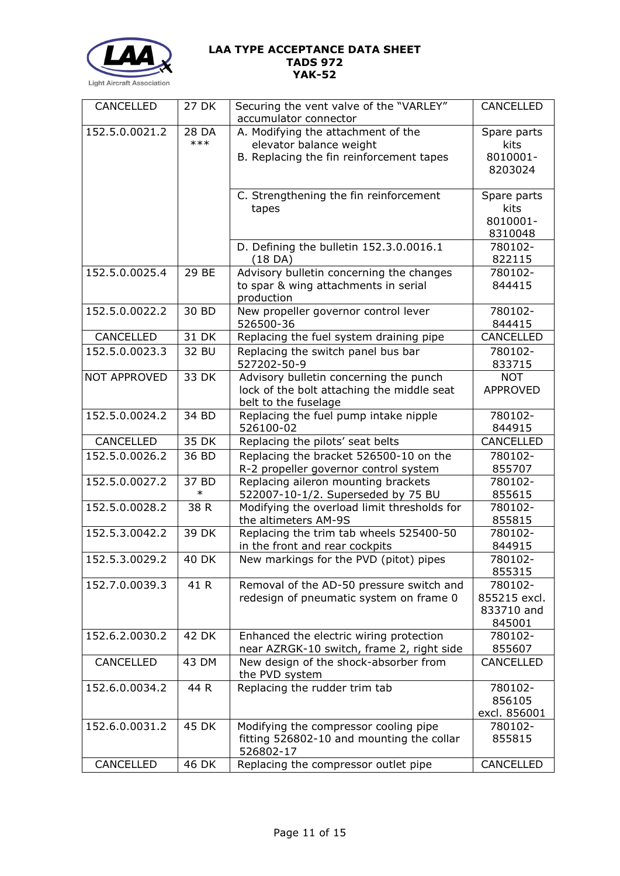

| CANCELLED           | 27 DK           | Securing the vent valve of the "VARLEY"<br>accumulator connector          | CANCELLED           |
|---------------------|-----------------|---------------------------------------------------------------------------|---------------------|
| 152.5.0.0021.2      | 28 DA           | A. Modifying the attachment of the                                        | Spare parts         |
|                     | $***$           | elevator balance weight                                                   | kits                |
|                     |                 | B. Replacing the fin reinforcement tapes                                  | 8010001-            |
|                     |                 |                                                                           | 8203024             |
|                     |                 | C. Strengthening the fin reinforcement<br>tapes                           | Spare parts<br>kits |
|                     |                 |                                                                           | 8010001-<br>8310048 |
|                     |                 | D. Defining the bulletin 152.3.0.0016.1<br>(18 DA)                        | 780102-<br>822115   |
| 152.5.0.0025.4      | 29 BE           | Advisory bulletin concerning the changes                                  | 780102-             |
|                     |                 | to spar & wing attachments in serial<br>production                        | 844415              |
| 152.5.0.0022.2      | 30 BD           | New propeller governor control lever<br>526500-36                         | 780102-<br>844415   |
| CANCELLED           | 31 DK           | Replacing the fuel system draining pipe                                   | CANCELLED           |
| 152.5.0.0023.3      | 32 BU           | Replacing the switch panel bus bar                                        | 780102-             |
|                     |                 | 527202-50-9                                                               | 833715              |
| <b>NOT APPROVED</b> | 33 DK           | Advisory bulletin concerning the punch                                    | <b>NOT</b>          |
|                     |                 | lock of the bolt attaching the middle seat                                | <b>APPROVED</b>     |
|                     |                 | belt to the fuselage                                                      |                     |
| 152.5.0.0024.2      | 34 BD           | Replacing the fuel pump intake nipple                                     | 780102-             |
|                     |                 | 526100-02                                                                 | 844915              |
| CANCELLED           | 35 DK           | Replacing the pilots' seat belts                                          | CANCELLED           |
| 152.5.0.0026.2      | 36 BD           | Replacing the bracket 526500-10 on the                                    | 780102-             |
|                     |                 | R-2 propeller governor control system                                     | 855707              |
| 152.5.0.0027.2      | 37 BD<br>$\ast$ | Replacing aileron mounting brackets<br>522007-10-1/2. Superseded by 75 BU | 780102-<br>855615   |
| 152.5.0.0028.2      | 38 R            | Modifying the overload limit thresholds for                               | 780102-             |
|                     |                 | the altimeters AM-9S                                                      | 855815              |
| 152.5.3.0042.2      | 39 DK           | Replacing the trim tab wheels 525400-50                                   | 780102-             |
|                     |                 | in the front and rear cockpits                                            | 844915              |
| 152.5.3.0029.2      | <b>40 DK</b>    | New markings for the PVD (pitot) pipes                                    | 780102-<br>855315   |
| 152.7.0.0039.3      | 41 R            | Removal of the AD-50 pressure switch and                                  | 780102-             |
|                     |                 | redesign of pneumatic system on frame 0                                   | 855215 excl.        |
|                     |                 |                                                                           | 833710 and          |
|                     |                 |                                                                           | 845001              |
| 152.6.2.0030.2      | 42 DK           | Enhanced the electric wiring protection                                   | 780102-             |
|                     |                 | near AZRGK-10 switch, frame 2, right side                                 | 855607              |
| CANCELLED           | 43 DM           | New design of the shock-absorber from<br>the PVD system                   | CANCELLED           |
| 152.6.0.0034.2      | 44 R            | Replacing the rudder trim tab                                             | 780102-             |
|                     |                 |                                                                           | 856105              |
|                     |                 |                                                                           | excl. 856001        |
| 152.6.0.0031.2      | 45 DK           | Modifying the compressor cooling pipe                                     | 780102-             |
|                     |                 | fitting 526802-10 and mounting the collar                                 | 855815              |
| CANCELLED           | 46 DK           | 526802-17<br>Replacing the compressor outlet pipe                         | CANCELLED           |
|                     |                 |                                                                           |                     |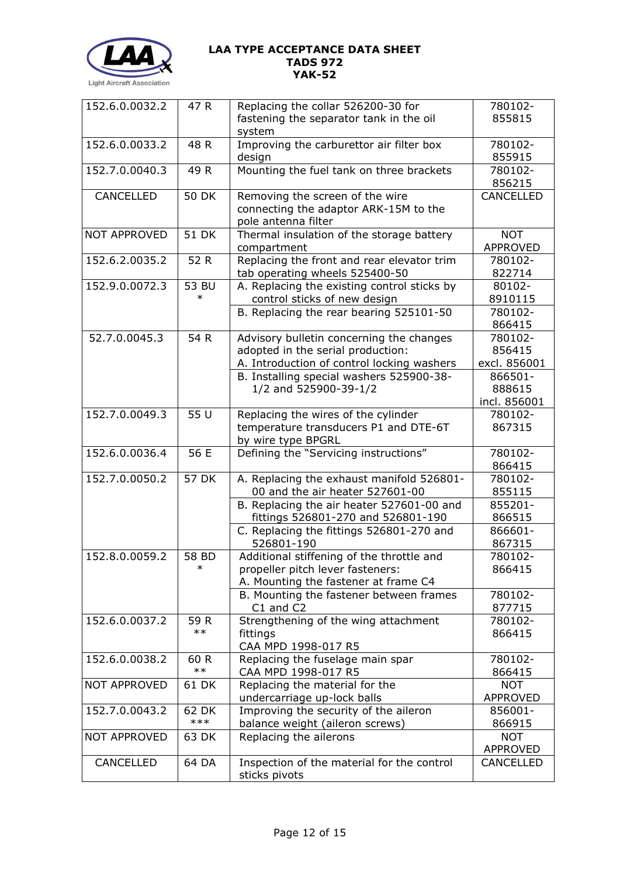

| 152.6.0.0032.2      | 47 R            | Replacing the collar 526200-30 for                                            | 780102-               |
|---------------------|-----------------|-------------------------------------------------------------------------------|-----------------------|
|                     |                 | fastening the separator tank in the oil                                       | 855815                |
|                     |                 | system                                                                        |                       |
| 152.6.0.0033.2      | 48 R            | Improving the carburettor air filter box                                      | 780102-               |
|                     |                 | design                                                                        | 855915                |
| 152.7.0.0040.3      | 49 R            | Mounting the fuel tank on three brackets                                      | 780102-<br>856215     |
| CANCELLED           | <b>50 DK</b>    | Removing the screen of the wire                                               | CANCELLED             |
|                     |                 | connecting the adaptor ARK-15M to the                                         |                       |
|                     |                 | pole antenna filter                                                           |                       |
| <b>NOT APPROVED</b> | <b>51 DK</b>    | Thermal insulation of the storage battery                                     | <b>NOT</b>            |
|                     |                 | compartment                                                                   | <b>APPROVED</b>       |
| 152.6.2.0035.2      | 52 R            | Replacing the front and rear elevator trim                                    | 780102-               |
|                     |                 | tab operating wheels 525400-50                                                | 822714                |
| 152.9.0.0072.3      | 53 BU           | A. Replacing the existing control sticks by                                   | 80102-                |
|                     |                 | control sticks of new design                                                  | 8910115               |
|                     |                 | B. Replacing the rear bearing 525101-50                                       | 780102-               |
|                     |                 |                                                                               | 866415                |
| 52.7.0.0045.3       | 54 R            | Advisory bulletin concerning the changes                                      | 780102-               |
|                     |                 | adopted in the serial production:                                             | 856415                |
|                     |                 | A. Introduction of control locking washers                                    | excl. 856001          |
|                     |                 | B. Installing special washers 525900-38-<br>1/2 and 525900-39-1/2             | 866501-<br>888615     |
|                     |                 |                                                                               | incl. 856001          |
| 152.7.0.0049.3      | 55 U            | Replacing the wires of the cylinder                                           | 780102-               |
|                     |                 | temperature transducers P1 and DTE-6T                                         | 867315                |
|                     |                 | by wire type BPGRL                                                            |                       |
| 152.6.0.0036.4      | 56 E            | Defining the "Servicing instructions"                                         | 780102-               |
|                     |                 |                                                                               | 866415                |
| 152.7.0.0050.2      | <b>57 DK</b>    | A. Replacing the exhaust manifold 526801-                                     | 780102-               |
|                     |                 | 00 and the air heater 527601-00                                               | 855115                |
|                     |                 | B. Replacing the air heater 527601-00 and                                     | 855201-               |
|                     |                 | fittings 526801-270 and 526801-190                                            | 866515                |
|                     |                 | C. Replacing the fittings 526801-270 and                                      | 866601-               |
|                     |                 | 526801-190                                                                    | 867315                |
| 152.8.0.0059.2      | 58 BD<br>$\ast$ | Additional stiffening of the throttle and<br>propeller pitch lever fasteners: | 780102-<br>866415     |
|                     |                 | A. Mounting the fastener at frame C4                                          |                       |
|                     |                 | B. Mounting the fastener between frames                                       | 780102-               |
|                     |                 | C1 and C2                                                                     | 877715                |
| 152.6.0.0037.2      | 59 R            | Strengthening of the wing attachment                                          | 780102-               |
|                     | $***$           | fittings                                                                      | 866415                |
|                     |                 | CAA MPD 1998-017 R5                                                           |                       |
| 152.6.0.0038.2      | 60 R            | Replacing the fuselage main spar                                              | 780102-               |
|                     | $***$           | CAA MPD 1998-017 R5                                                           | 866415                |
| <b>NOT APPROVED</b> | 61 DK           | Replacing the material for the                                                | <b>NOT</b>            |
|                     |                 | undercarriage up-lock balls                                                   | <b>APPROVED</b>       |
| 152.7.0.0043.2      | 62 DK           | Improving the security of the aileron                                         | 856001-               |
|                     | $***$           | balance weight (aileron screws)                                               | 866915                |
| <b>NOT APPROVED</b> | 63 DK           | Replacing the ailerons                                                        | <b>NOT</b>            |
| CANCELLED           | 64 DA           | Inspection of the material for the control                                    | APPROVED<br>CANCELLED |
|                     |                 | sticks pivots                                                                 |                       |
|                     |                 |                                                                               |                       |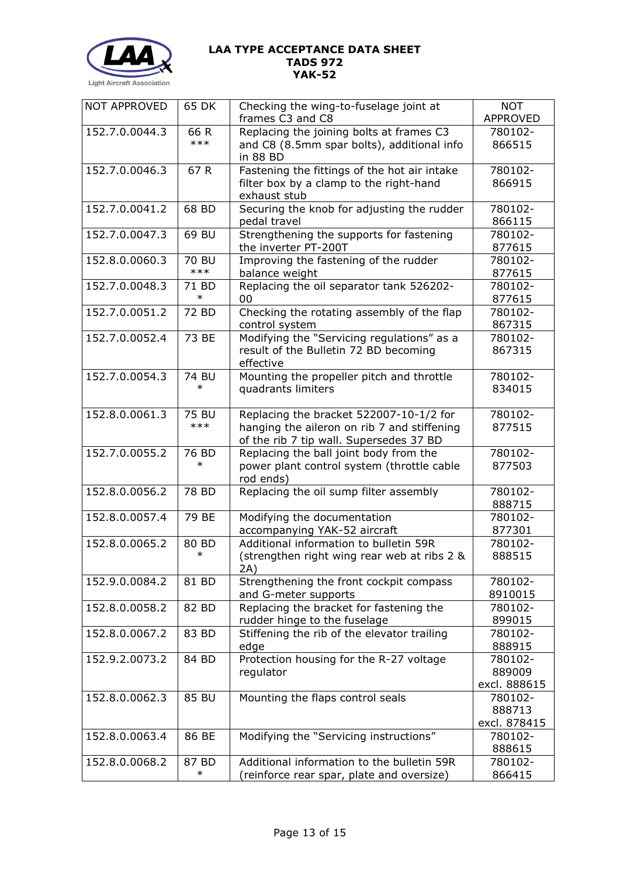

| <b>NOT APPROVED</b> | 65 DK        | Checking the wing-to-fuselage joint at<br>frames C3 and C8 | <b>NOT</b><br>APPROVED |
|---------------------|--------------|------------------------------------------------------------|------------------------|
| 152.7.0.0044.3      | 66 R         | Replacing the joining bolts at frames C3                   | 780102-                |
|                     | $***$        | and C8 (8.5mm spar bolts), additional info<br>in 88 BD     | 866515                 |
| 152.7.0.0046.3      | 67 R         | Fastening the fittings of the hot air intake               | 780102-                |
|                     |              | filter box by a clamp to the right-hand<br>exhaust stub    | 866915                 |
| 152.7.0.0041.2      | 68 BD        | Securing the knob for adjusting the rudder                 | 780102-                |
|                     |              | pedal travel                                               | 866115                 |
| 152.7.0.0047.3      | 69 BU        | Strengthening the supports for fastening                   | 780102-                |
|                     |              | the inverter PT-200T                                       | 877615                 |
| 152.8.0.0060.3      | <b>70 BU</b> | Improving the fastening of the rudder                      | 780102-                |
|                     | $***$        | balance weight                                             | 877615                 |
| 152.7.0.0048.3      | 71 BD        | Replacing the oil separator tank 526202-                   | 780102-                |
|                     | $\ast$       | 00                                                         | 877615                 |
| 152.7.0.0051.2      | 72 BD        | Checking the rotating assembly of the flap                 | 780102-                |
|                     |              | control system                                             | 867315                 |
| 152.7.0.0052.4      | 73 BE        | Modifying the "Servicing regulations" as a                 | 780102-                |
|                     |              | result of the Bulletin 72 BD becoming                      | 867315                 |
|                     |              | effective                                                  |                        |
| 152.7.0.0054.3      | 74 BU        | Mounting the propeller pitch and throttle                  | 780102-                |
|                     | $\ast$       | quadrants limiters                                         | 834015                 |
| 152.8.0.0061.3      | 75 BU        | Replacing the bracket 522007-10-1/2 for                    | 780102-                |
|                     | ***          | hanging the aileron on rib 7 and stiffening                | 877515                 |
|                     |              | of the rib 7 tip wall. Supersedes 37 BD                    |                        |
| 152.7.0.0055.2      | 76 BD        | Replacing the ball joint body from the                     | 780102-                |
|                     | $\ast$       | power plant control system (throttle cable                 | 877503                 |
|                     |              | rod ends)                                                  |                        |
| 152.8.0.0056.2      | 78 BD        | Replacing the oil sump filter assembly                     | 780102-                |
|                     |              |                                                            | 888715                 |
| 152.8.0.0057.4      | 79 BE        | Modifying the documentation                                | 780102-                |
|                     |              | accompanying YAK-52 aircraft                               | 877301                 |
| 152.8.0.0065.2      | 80 BD        | Additional information to bulletin 59R                     | 780102-                |
|                     | $\ast$       | (strengthen right wing rear web at ribs 2 &                | 888515                 |
|                     |              | 2A)                                                        |                        |
| 152.9.0.0084.2      | 81 BD        | Strengthening the front cockpit compass                    | 780102-                |
|                     |              | and G-meter supports                                       | 8910015                |
| 152.8.0.0058.2      | 82 BD        | Replacing the bracket for fastening the                    | 780102-                |
|                     |              | rudder hinge to the fuselage                               | 899015                 |
| 152.8.0.0067.2      | 83 BD        | Stiffening the rib of the elevator trailing                | 780102-                |
|                     |              | edge                                                       | 888915                 |
| 152.9.2.0073.2      | 84 BD        | Protection housing for the R-27 voltage                    | 780102-                |
|                     |              | regulator                                                  | 889009                 |
|                     |              |                                                            | excl. 888615           |
| 152.8.0.0062.3      | 85 BU        | Mounting the flaps control seals                           | 780102-                |
|                     |              |                                                            | 888713                 |
|                     |              |                                                            | excl. 878415           |
| 152.8.0.0063.4      | 86 BE        | Modifying the "Servicing instructions"                     | 780102-                |
|                     |              |                                                            | 888615                 |
| 152.8.0.0068.2      | 87 BD        | Additional information to the bulletin 59R                 | 780102-                |
|                     | $\ast$       | (reinforce rear spar, plate and oversize)                  | 866415                 |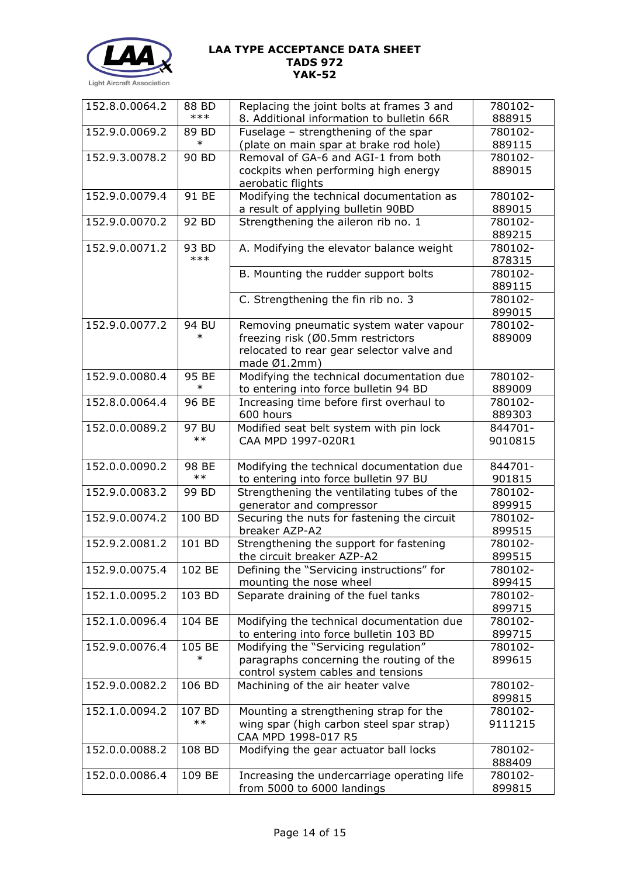

| 152.8.0.0064.2<br>780102-<br>88 BD<br>***<br>8. Additional information to bulletin 66R<br>888915<br>152.9.0.0069.2<br>Fuselage - strengthening of the spar<br>780102-<br>89 BD<br>$\ast$<br>(plate on main spar at brake rod hole)<br>889115<br>152.9.3.0078.2<br>Removal of GA-6 and AGI-1 from both<br>90 BD<br>780102-<br>889015<br>cockpits when performing high energy<br>aerobatic flights<br>91 BE<br>152.9.0.0079.4<br>Modifying the technical documentation as<br>780102-<br>a result of applying bulletin 90BD<br>889015<br>152.9.0.0070.2<br>Strengthening the aileron rib no. 1<br>92 BD<br>780102-<br>889215<br>152.9.0.0071.2<br>93 BD<br>A. Modifying the elevator balance weight<br>780102-<br>***<br>878315<br>B. Mounting the rudder support bolts<br>780102-<br>889115<br>C. Strengthening the fin rib no. 3<br>780102-<br>899015<br>152.9.0.0077.2<br>94 BU<br>Removing pneumatic system water vapour<br>780102-<br>$\ast$<br>freezing risk (Ø0.5mm restrictors<br>889009<br>relocated to rear gear selector valve and<br>made $(01.2mm)$<br>Modifying the technical documentation due<br>152.9.0.0080.4<br>95 BE<br>780102-<br>$\ast$<br>to entering into force bulletin 94 BD<br>889009<br>152.8.0.0064.4<br>96 BE<br>Increasing time before first overhaul to<br>780102-<br>600 hours<br>889303<br>152.0.0.0089.2<br>Modified seat belt system with pin lock<br>97 BU<br>844701-<br>$***$<br>CAA MPD 1997-020R1<br>9010815<br>152.0.0.0090.2<br>Modifying the technical documentation due<br>844701-<br>98 BE<br>$***$<br>to entering into force bulletin 97 BU<br>901815<br>Strengthening the ventilating tubes of the<br>152.9.0.0083.2<br>780102-<br>99 BD<br>generator and compressor<br>899915<br>152.9.0.0074.2<br>100 BD<br>Securing the nuts for fastening the circuit<br>780102-<br>breaker AZP-A2<br>899515<br>152.9.2.0081.2<br>101 BD<br>Strengthening the support for fastening<br>780102-<br>the circuit breaker AZP-A2<br>899515<br>152.9.0.0075.4<br>102 BE<br>Defining the "Servicing instructions" for<br>780102-<br>mounting the nose wheel<br>899415<br>103 BD<br>152.1.0.0095.2<br>Separate draining of the fuel tanks<br>780102-<br>899715<br>152.1.0.0096.4<br>104 BE<br>Modifying the technical documentation due<br>780102-<br>to entering into force bulletin 103 BD<br>899715<br>152.9.0.0076.4<br>105 BE<br>Modifying the "Servicing regulation"<br>780102-<br>$\ast$<br>paragraphs concerning the routing of the<br>899615<br>control system cables and tensions<br>106 BD<br>Machining of the air heater valve<br>780102-<br>152.9.0.0082.2<br>899815<br>Mounting a strengthening strap for the<br>152.1.0.0094.2<br>107 BD<br>780102-<br>$***$<br>wing spar (high carbon steel spar strap)<br>9111215<br>CAA MPD 1998-017 R5<br>152.0.0.0088.2<br>108 BD<br>Modifying the gear actuator ball locks<br>780102-<br>888409<br>152.0.0.0086.4<br>109 BE<br>Increasing the undercarriage operating life<br>780102- |  |                                           |        |
|---------------------------------------------------------------------------------------------------------------------------------------------------------------------------------------------------------------------------------------------------------------------------------------------------------------------------------------------------------------------------------------------------------------------------------------------------------------------------------------------------------------------------------------------------------------------------------------------------------------------------------------------------------------------------------------------------------------------------------------------------------------------------------------------------------------------------------------------------------------------------------------------------------------------------------------------------------------------------------------------------------------------------------------------------------------------------------------------------------------------------------------------------------------------------------------------------------------------------------------------------------------------------------------------------------------------------------------------------------------------------------------------------------------------------------------------------------------------------------------------------------------------------------------------------------------------------------------------------------------------------------------------------------------------------------------------------------------------------------------------------------------------------------------------------------------------------------------------------------------------------------------------------------------------------------------------------------------------------------------------------------------------------------------------------------------------------------------------------------------------------------------------------------------------------------------------------------------------------------------------------------------------------------------------------------------------------------------------------------------------------------------------------------------------------------------------------------------------------------------------------------------------------------------------------------------------------------------------------------------------------------------------------------------------------------------------------------------------------------------------------------------------------------------------------------------------------------------------------------------------------------------------------------------------------------------------------------------------|--|-------------------------------------------|--------|
|                                                                                                                                                                                                                                                                                                                                                                                                                                                                                                                                                                                                                                                                                                                                                                                                                                                                                                                                                                                                                                                                                                                                                                                                                                                                                                                                                                                                                                                                                                                                                                                                                                                                                                                                                                                                                                                                                                                                                                                                                                                                                                                                                                                                                                                                                                                                                                                                                                                                                                                                                                                                                                                                                                                                                                                                                                                                                                                                                                     |  | Replacing the joint bolts at frames 3 and |        |
|                                                                                                                                                                                                                                                                                                                                                                                                                                                                                                                                                                                                                                                                                                                                                                                                                                                                                                                                                                                                                                                                                                                                                                                                                                                                                                                                                                                                                                                                                                                                                                                                                                                                                                                                                                                                                                                                                                                                                                                                                                                                                                                                                                                                                                                                                                                                                                                                                                                                                                                                                                                                                                                                                                                                                                                                                                                                                                                                                                     |  |                                           |        |
|                                                                                                                                                                                                                                                                                                                                                                                                                                                                                                                                                                                                                                                                                                                                                                                                                                                                                                                                                                                                                                                                                                                                                                                                                                                                                                                                                                                                                                                                                                                                                                                                                                                                                                                                                                                                                                                                                                                                                                                                                                                                                                                                                                                                                                                                                                                                                                                                                                                                                                                                                                                                                                                                                                                                                                                                                                                                                                                                                                     |  |                                           |        |
|                                                                                                                                                                                                                                                                                                                                                                                                                                                                                                                                                                                                                                                                                                                                                                                                                                                                                                                                                                                                                                                                                                                                                                                                                                                                                                                                                                                                                                                                                                                                                                                                                                                                                                                                                                                                                                                                                                                                                                                                                                                                                                                                                                                                                                                                                                                                                                                                                                                                                                                                                                                                                                                                                                                                                                                                                                                                                                                                                                     |  |                                           |        |
|                                                                                                                                                                                                                                                                                                                                                                                                                                                                                                                                                                                                                                                                                                                                                                                                                                                                                                                                                                                                                                                                                                                                                                                                                                                                                                                                                                                                                                                                                                                                                                                                                                                                                                                                                                                                                                                                                                                                                                                                                                                                                                                                                                                                                                                                                                                                                                                                                                                                                                                                                                                                                                                                                                                                                                                                                                                                                                                                                                     |  |                                           |        |
|                                                                                                                                                                                                                                                                                                                                                                                                                                                                                                                                                                                                                                                                                                                                                                                                                                                                                                                                                                                                                                                                                                                                                                                                                                                                                                                                                                                                                                                                                                                                                                                                                                                                                                                                                                                                                                                                                                                                                                                                                                                                                                                                                                                                                                                                                                                                                                                                                                                                                                                                                                                                                                                                                                                                                                                                                                                                                                                                                                     |  |                                           |        |
|                                                                                                                                                                                                                                                                                                                                                                                                                                                                                                                                                                                                                                                                                                                                                                                                                                                                                                                                                                                                                                                                                                                                                                                                                                                                                                                                                                                                                                                                                                                                                                                                                                                                                                                                                                                                                                                                                                                                                                                                                                                                                                                                                                                                                                                                                                                                                                                                                                                                                                                                                                                                                                                                                                                                                                                                                                                                                                                                                                     |  |                                           |        |
|                                                                                                                                                                                                                                                                                                                                                                                                                                                                                                                                                                                                                                                                                                                                                                                                                                                                                                                                                                                                                                                                                                                                                                                                                                                                                                                                                                                                                                                                                                                                                                                                                                                                                                                                                                                                                                                                                                                                                                                                                                                                                                                                                                                                                                                                                                                                                                                                                                                                                                                                                                                                                                                                                                                                                                                                                                                                                                                                                                     |  |                                           |        |
|                                                                                                                                                                                                                                                                                                                                                                                                                                                                                                                                                                                                                                                                                                                                                                                                                                                                                                                                                                                                                                                                                                                                                                                                                                                                                                                                                                                                                                                                                                                                                                                                                                                                                                                                                                                                                                                                                                                                                                                                                                                                                                                                                                                                                                                                                                                                                                                                                                                                                                                                                                                                                                                                                                                                                                                                                                                                                                                                                                     |  |                                           |        |
|                                                                                                                                                                                                                                                                                                                                                                                                                                                                                                                                                                                                                                                                                                                                                                                                                                                                                                                                                                                                                                                                                                                                                                                                                                                                                                                                                                                                                                                                                                                                                                                                                                                                                                                                                                                                                                                                                                                                                                                                                                                                                                                                                                                                                                                                                                                                                                                                                                                                                                                                                                                                                                                                                                                                                                                                                                                                                                                                                                     |  |                                           |        |
|                                                                                                                                                                                                                                                                                                                                                                                                                                                                                                                                                                                                                                                                                                                                                                                                                                                                                                                                                                                                                                                                                                                                                                                                                                                                                                                                                                                                                                                                                                                                                                                                                                                                                                                                                                                                                                                                                                                                                                                                                                                                                                                                                                                                                                                                                                                                                                                                                                                                                                                                                                                                                                                                                                                                                                                                                                                                                                                                                                     |  |                                           |        |
|                                                                                                                                                                                                                                                                                                                                                                                                                                                                                                                                                                                                                                                                                                                                                                                                                                                                                                                                                                                                                                                                                                                                                                                                                                                                                                                                                                                                                                                                                                                                                                                                                                                                                                                                                                                                                                                                                                                                                                                                                                                                                                                                                                                                                                                                                                                                                                                                                                                                                                                                                                                                                                                                                                                                                                                                                                                                                                                                                                     |  |                                           |        |
|                                                                                                                                                                                                                                                                                                                                                                                                                                                                                                                                                                                                                                                                                                                                                                                                                                                                                                                                                                                                                                                                                                                                                                                                                                                                                                                                                                                                                                                                                                                                                                                                                                                                                                                                                                                                                                                                                                                                                                                                                                                                                                                                                                                                                                                                                                                                                                                                                                                                                                                                                                                                                                                                                                                                                                                                                                                                                                                                                                     |  |                                           |        |
|                                                                                                                                                                                                                                                                                                                                                                                                                                                                                                                                                                                                                                                                                                                                                                                                                                                                                                                                                                                                                                                                                                                                                                                                                                                                                                                                                                                                                                                                                                                                                                                                                                                                                                                                                                                                                                                                                                                                                                                                                                                                                                                                                                                                                                                                                                                                                                                                                                                                                                                                                                                                                                                                                                                                                                                                                                                                                                                                                                     |  |                                           |        |
|                                                                                                                                                                                                                                                                                                                                                                                                                                                                                                                                                                                                                                                                                                                                                                                                                                                                                                                                                                                                                                                                                                                                                                                                                                                                                                                                                                                                                                                                                                                                                                                                                                                                                                                                                                                                                                                                                                                                                                                                                                                                                                                                                                                                                                                                                                                                                                                                                                                                                                                                                                                                                                                                                                                                                                                                                                                                                                                                                                     |  |                                           |        |
|                                                                                                                                                                                                                                                                                                                                                                                                                                                                                                                                                                                                                                                                                                                                                                                                                                                                                                                                                                                                                                                                                                                                                                                                                                                                                                                                                                                                                                                                                                                                                                                                                                                                                                                                                                                                                                                                                                                                                                                                                                                                                                                                                                                                                                                                                                                                                                                                                                                                                                                                                                                                                                                                                                                                                                                                                                                                                                                                                                     |  |                                           |        |
|                                                                                                                                                                                                                                                                                                                                                                                                                                                                                                                                                                                                                                                                                                                                                                                                                                                                                                                                                                                                                                                                                                                                                                                                                                                                                                                                                                                                                                                                                                                                                                                                                                                                                                                                                                                                                                                                                                                                                                                                                                                                                                                                                                                                                                                                                                                                                                                                                                                                                                                                                                                                                                                                                                                                                                                                                                                                                                                                                                     |  |                                           |        |
|                                                                                                                                                                                                                                                                                                                                                                                                                                                                                                                                                                                                                                                                                                                                                                                                                                                                                                                                                                                                                                                                                                                                                                                                                                                                                                                                                                                                                                                                                                                                                                                                                                                                                                                                                                                                                                                                                                                                                                                                                                                                                                                                                                                                                                                                                                                                                                                                                                                                                                                                                                                                                                                                                                                                                                                                                                                                                                                                                                     |  |                                           |        |
|                                                                                                                                                                                                                                                                                                                                                                                                                                                                                                                                                                                                                                                                                                                                                                                                                                                                                                                                                                                                                                                                                                                                                                                                                                                                                                                                                                                                                                                                                                                                                                                                                                                                                                                                                                                                                                                                                                                                                                                                                                                                                                                                                                                                                                                                                                                                                                                                                                                                                                                                                                                                                                                                                                                                                                                                                                                                                                                                                                     |  |                                           |        |
|                                                                                                                                                                                                                                                                                                                                                                                                                                                                                                                                                                                                                                                                                                                                                                                                                                                                                                                                                                                                                                                                                                                                                                                                                                                                                                                                                                                                                                                                                                                                                                                                                                                                                                                                                                                                                                                                                                                                                                                                                                                                                                                                                                                                                                                                                                                                                                                                                                                                                                                                                                                                                                                                                                                                                                                                                                                                                                                                                                     |  |                                           |        |
|                                                                                                                                                                                                                                                                                                                                                                                                                                                                                                                                                                                                                                                                                                                                                                                                                                                                                                                                                                                                                                                                                                                                                                                                                                                                                                                                                                                                                                                                                                                                                                                                                                                                                                                                                                                                                                                                                                                                                                                                                                                                                                                                                                                                                                                                                                                                                                                                                                                                                                                                                                                                                                                                                                                                                                                                                                                                                                                                                                     |  |                                           |        |
|                                                                                                                                                                                                                                                                                                                                                                                                                                                                                                                                                                                                                                                                                                                                                                                                                                                                                                                                                                                                                                                                                                                                                                                                                                                                                                                                                                                                                                                                                                                                                                                                                                                                                                                                                                                                                                                                                                                                                                                                                                                                                                                                                                                                                                                                                                                                                                                                                                                                                                                                                                                                                                                                                                                                                                                                                                                                                                                                                                     |  |                                           |        |
|                                                                                                                                                                                                                                                                                                                                                                                                                                                                                                                                                                                                                                                                                                                                                                                                                                                                                                                                                                                                                                                                                                                                                                                                                                                                                                                                                                                                                                                                                                                                                                                                                                                                                                                                                                                                                                                                                                                                                                                                                                                                                                                                                                                                                                                                                                                                                                                                                                                                                                                                                                                                                                                                                                                                                                                                                                                                                                                                                                     |  |                                           |        |
|                                                                                                                                                                                                                                                                                                                                                                                                                                                                                                                                                                                                                                                                                                                                                                                                                                                                                                                                                                                                                                                                                                                                                                                                                                                                                                                                                                                                                                                                                                                                                                                                                                                                                                                                                                                                                                                                                                                                                                                                                                                                                                                                                                                                                                                                                                                                                                                                                                                                                                                                                                                                                                                                                                                                                                                                                                                                                                                                                                     |  |                                           |        |
|                                                                                                                                                                                                                                                                                                                                                                                                                                                                                                                                                                                                                                                                                                                                                                                                                                                                                                                                                                                                                                                                                                                                                                                                                                                                                                                                                                                                                                                                                                                                                                                                                                                                                                                                                                                                                                                                                                                                                                                                                                                                                                                                                                                                                                                                                                                                                                                                                                                                                                                                                                                                                                                                                                                                                                                                                                                                                                                                                                     |  |                                           |        |
|                                                                                                                                                                                                                                                                                                                                                                                                                                                                                                                                                                                                                                                                                                                                                                                                                                                                                                                                                                                                                                                                                                                                                                                                                                                                                                                                                                                                                                                                                                                                                                                                                                                                                                                                                                                                                                                                                                                                                                                                                                                                                                                                                                                                                                                                                                                                                                                                                                                                                                                                                                                                                                                                                                                                                                                                                                                                                                                                                                     |  |                                           |        |
|                                                                                                                                                                                                                                                                                                                                                                                                                                                                                                                                                                                                                                                                                                                                                                                                                                                                                                                                                                                                                                                                                                                                                                                                                                                                                                                                                                                                                                                                                                                                                                                                                                                                                                                                                                                                                                                                                                                                                                                                                                                                                                                                                                                                                                                                                                                                                                                                                                                                                                                                                                                                                                                                                                                                                                                                                                                                                                                                                                     |  |                                           |        |
|                                                                                                                                                                                                                                                                                                                                                                                                                                                                                                                                                                                                                                                                                                                                                                                                                                                                                                                                                                                                                                                                                                                                                                                                                                                                                                                                                                                                                                                                                                                                                                                                                                                                                                                                                                                                                                                                                                                                                                                                                                                                                                                                                                                                                                                                                                                                                                                                                                                                                                                                                                                                                                                                                                                                                                                                                                                                                                                                                                     |  |                                           |        |
|                                                                                                                                                                                                                                                                                                                                                                                                                                                                                                                                                                                                                                                                                                                                                                                                                                                                                                                                                                                                                                                                                                                                                                                                                                                                                                                                                                                                                                                                                                                                                                                                                                                                                                                                                                                                                                                                                                                                                                                                                                                                                                                                                                                                                                                                                                                                                                                                                                                                                                                                                                                                                                                                                                                                                                                                                                                                                                                                                                     |  |                                           |        |
|                                                                                                                                                                                                                                                                                                                                                                                                                                                                                                                                                                                                                                                                                                                                                                                                                                                                                                                                                                                                                                                                                                                                                                                                                                                                                                                                                                                                                                                                                                                                                                                                                                                                                                                                                                                                                                                                                                                                                                                                                                                                                                                                                                                                                                                                                                                                                                                                                                                                                                                                                                                                                                                                                                                                                                                                                                                                                                                                                                     |  |                                           |        |
|                                                                                                                                                                                                                                                                                                                                                                                                                                                                                                                                                                                                                                                                                                                                                                                                                                                                                                                                                                                                                                                                                                                                                                                                                                                                                                                                                                                                                                                                                                                                                                                                                                                                                                                                                                                                                                                                                                                                                                                                                                                                                                                                                                                                                                                                                                                                                                                                                                                                                                                                                                                                                                                                                                                                                                                                                                                                                                                                                                     |  |                                           |        |
|                                                                                                                                                                                                                                                                                                                                                                                                                                                                                                                                                                                                                                                                                                                                                                                                                                                                                                                                                                                                                                                                                                                                                                                                                                                                                                                                                                                                                                                                                                                                                                                                                                                                                                                                                                                                                                                                                                                                                                                                                                                                                                                                                                                                                                                                                                                                                                                                                                                                                                                                                                                                                                                                                                                                                                                                                                                                                                                                                                     |  |                                           |        |
|                                                                                                                                                                                                                                                                                                                                                                                                                                                                                                                                                                                                                                                                                                                                                                                                                                                                                                                                                                                                                                                                                                                                                                                                                                                                                                                                                                                                                                                                                                                                                                                                                                                                                                                                                                                                                                                                                                                                                                                                                                                                                                                                                                                                                                                                                                                                                                                                                                                                                                                                                                                                                                                                                                                                                                                                                                                                                                                                                                     |  |                                           |        |
|                                                                                                                                                                                                                                                                                                                                                                                                                                                                                                                                                                                                                                                                                                                                                                                                                                                                                                                                                                                                                                                                                                                                                                                                                                                                                                                                                                                                                                                                                                                                                                                                                                                                                                                                                                                                                                                                                                                                                                                                                                                                                                                                                                                                                                                                                                                                                                                                                                                                                                                                                                                                                                                                                                                                                                                                                                                                                                                                                                     |  |                                           |        |
|                                                                                                                                                                                                                                                                                                                                                                                                                                                                                                                                                                                                                                                                                                                                                                                                                                                                                                                                                                                                                                                                                                                                                                                                                                                                                                                                                                                                                                                                                                                                                                                                                                                                                                                                                                                                                                                                                                                                                                                                                                                                                                                                                                                                                                                                                                                                                                                                                                                                                                                                                                                                                                                                                                                                                                                                                                                                                                                                                                     |  |                                           |        |
|                                                                                                                                                                                                                                                                                                                                                                                                                                                                                                                                                                                                                                                                                                                                                                                                                                                                                                                                                                                                                                                                                                                                                                                                                                                                                                                                                                                                                                                                                                                                                                                                                                                                                                                                                                                                                                                                                                                                                                                                                                                                                                                                                                                                                                                                                                                                                                                                                                                                                                                                                                                                                                                                                                                                                                                                                                                                                                                                                                     |  |                                           |        |
|                                                                                                                                                                                                                                                                                                                                                                                                                                                                                                                                                                                                                                                                                                                                                                                                                                                                                                                                                                                                                                                                                                                                                                                                                                                                                                                                                                                                                                                                                                                                                                                                                                                                                                                                                                                                                                                                                                                                                                                                                                                                                                                                                                                                                                                                                                                                                                                                                                                                                                                                                                                                                                                                                                                                                                                                                                                                                                                                                                     |  |                                           |        |
|                                                                                                                                                                                                                                                                                                                                                                                                                                                                                                                                                                                                                                                                                                                                                                                                                                                                                                                                                                                                                                                                                                                                                                                                                                                                                                                                                                                                                                                                                                                                                                                                                                                                                                                                                                                                                                                                                                                                                                                                                                                                                                                                                                                                                                                                                                                                                                                                                                                                                                                                                                                                                                                                                                                                                                                                                                                                                                                                                                     |  |                                           |        |
|                                                                                                                                                                                                                                                                                                                                                                                                                                                                                                                                                                                                                                                                                                                                                                                                                                                                                                                                                                                                                                                                                                                                                                                                                                                                                                                                                                                                                                                                                                                                                                                                                                                                                                                                                                                                                                                                                                                                                                                                                                                                                                                                                                                                                                                                                                                                                                                                                                                                                                                                                                                                                                                                                                                                                                                                                                                                                                                                                                     |  |                                           |        |
|                                                                                                                                                                                                                                                                                                                                                                                                                                                                                                                                                                                                                                                                                                                                                                                                                                                                                                                                                                                                                                                                                                                                                                                                                                                                                                                                                                                                                                                                                                                                                                                                                                                                                                                                                                                                                                                                                                                                                                                                                                                                                                                                                                                                                                                                                                                                                                                                                                                                                                                                                                                                                                                                                                                                                                                                                                                                                                                                                                     |  |                                           |        |
|                                                                                                                                                                                                                                                                                                                                                                                                                                                                                                                                                                                                                                                                                                                                                                                                                                                                                                                                                                                                                                                                                                                                                                                                                                                                                                                                                                                                                                                                                                                                                                                                                                                                                                                                                                                                                                                                                                                                                                                                                                                                                                                                                                                                                                                                                                                                                                                                                                                                                                                                                                                                                                                                                                                                                                                                                                                                                                                                                                     |  |                                           |        |
|                                                                                                                                                                                                                                                                                                                                                                                                                                                                                                                                                                                                                                                                                                                                                                                                                                                                                                                                                                                                                                                                                                                                                                                                                                                                                                                                                                                                                                                                                                                                                                                                                                                                                                                                                                                                                                                                                                                                                                                                                                                                                                                                                                                                                                                                                                                                                                                                                                                                                                                                                                                                                                                                                                                                                                                                                                                                                                                                                                     |  |                                           |        |
|                                                                                                                                                                                                                                                                                                                                                                                                                                                                                                                                                                                                                                                                                                                                                                                                                                                                                                                                                                                                                                                                                                                                                                                                                                                                                                                                                                                                                                                                                                                                                                                                                                                                                                                                                                                                                                                                                                                                                                                                                                                                                                                                                                                                                                                                                                                                                                                                                                                                                                                                                                                                                                                                                                                                                                                                                                                                                                                                                                     |  |                                           |        |
|                                                                                                                                                                                                                                                                                                                                                                                                                                                                                                                                                                                                                                                                                                                                                                                                                                                                                                                                                                                                                                                                                                                                                                                                                                                                                                                                                                                                                                                                                                                                                                                                                                                                                                                                                                                                                                                                                                                                                                                                                                                                                                                                                                                                                                                                                                                                                                                                                                                                                                                                                                                                                                                                                                                                                                                                                                                                                                                                                                     |  |                                           |        |
|                                                                                                                                                                                                                                                                                                                                                                                                                                                                                                                                                                                                                                                                                                                                                                                                                                                                                                                                                                                                                                                                                                                                                                                                                                                                                                                                                                                                                                                                                                                                                                                                                                                                                                                                                                                                                                                                                                                                                                                                                                                                                                                                                                                                                                                                                                                                                                                                                                                                                                                                                                                                                                                                                                                                                                                                                                                                                                                                                                     |  |                                           |        |
|                                                                                                                                                                                                                                                                                                                                                                                                                                                                                                                                                                                                                                                                                                                                                                                                                                                                                                                                                                                                                                                                                                                                                                                                                                                                                                                                                                                                                                                                                                                                                                                                                                                                                                                                                                                                                                                                                                                                                                                                                                                                                                                                                                                                                                                                                                                                                                                                                                                                                                                                                                                                                                                                                                                                                                                                                                                                                                                                                                     |  |                                           |        |
|                                                                                                                                                                                                                                                                                                                                                                                                                                                                                                                                                                                                                                                                                                                                                                                                                                                                                                                                                                                                                                                                                                                                                                                                                                                                                                                                                                                                                                                                                                                                                                                                                                                                                                                                                                                                                                                                                                                                                                                                                                                                                                                                                                                                                                                                                                                                                                                                                                                                                                                                                                                                                                                                                                                                                                                                                                                                                                                                                                     |  |                                           |        |
|                                                                                                                                                                                                                                                                                                                                                                                                                                                                                                                                                                                                                                                                                                                                                                                                                                                                                                                                                                                                                                                                                                                                                                                                                                                                                                                                                                                                                                                                                                                                                                                                                                                                                                                                                                                                                                                                                                                                                                                                                                                                                                                                                                                                                                                                                                                                                                                                                                                                                                                                                                                                                                                                                                                                                                                                                                                                                                                                                                     |  |                                           |        |
|                                                                                                                                                                                                                                                                                                                                                                                                                                                                                                                                                                                                                                                                                                                                                                                                                                                                                                                                                                                                                                                                                                                                                                                                                                                                                                                                                                                                                                                                                                                                                                                                                                                                                                                                                                                                                                                                                                                                                                                                                                                                                                                                                                                                                                                                                                                                                                                                                                                                                                                                                                                                                                                                                                                                                                                                                                                                                                                                                                     |  |                                           |        |
|                                                                                                                                                                                                                                                                                                                                                                                                                                                                                                                                                                                                                                                                                                                                                                                                                                                                                                                                                                                                                                                                                                                                                                                                                                                                                                                                                                                                                                                                                                                                                                                                                                                                                                                                                                                                                                                                                                                                                                                                                                                                                                                                                                                                                                                                                                                                                                                                                                                                                                                                                                                                                                                                                                                                                                                                                                                                                                                                                                     |  |                                           |        |
|                                                                                                                                                                                                                                                                                                                                                                                                                                                                                                                                                                                                                                                                                                                                                                                                                                                                                                                                                                                                                                                                                                                                                                                                                                                                                                                                                                                                                                                                                                                                                                                                                                                                                                                                                                                                                                                                                                                                                                                                                                                                                                                                                                                                                                                                                                                                                                                                                                                                                                                                                                                                                                                                                                                                                                                                                                                                                                                                                                     |  |                                           |        |
|                                                                                                                                                                                                                                                                                                                                                                                                                                                                                                                                                                                                                                                                                                                                                                                                                                                                                                                                                                                                                                                                                                                                                                                                                                                                                                                                                                                                                                                                                                                                                                                                                                                                                                                                                                                                                                                                                                                                                                                                                                                                                                                                                                                                                                                                                                                                                                                                                                                                                                                                                                                                                                                                                                                                                                                                                                                                                                                                                                     |  | from 5000 to 6000 landings                | 899815 |